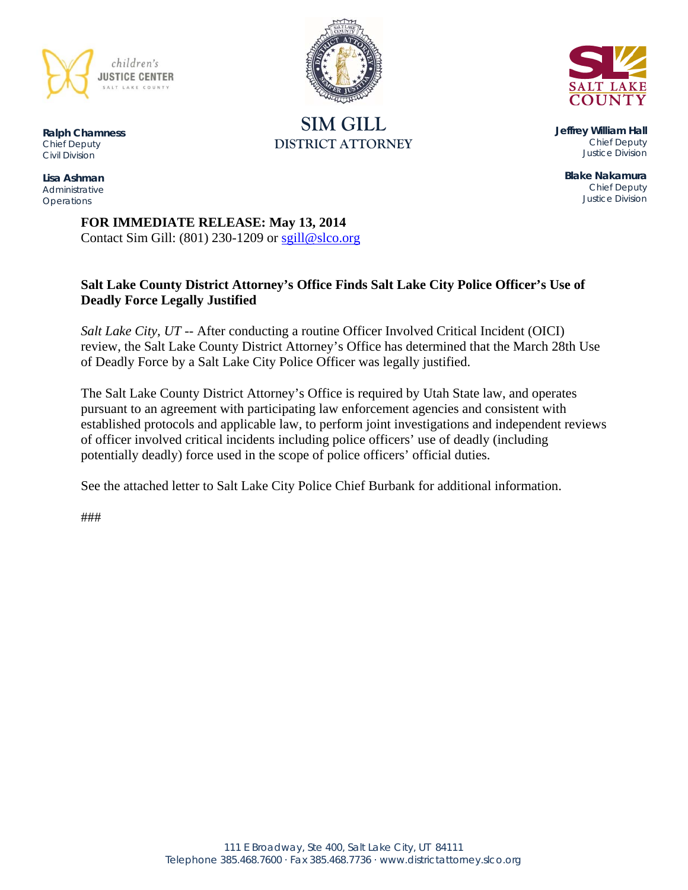



**SIM GILL DISTRICT ATTORNEY** 

**Ralph Chamness**  *Chief Deputy Civil Division* 

**Lisa Ashman**  *Administrative Operations* 

**Jeffrey William Hall**  *Chief Deputy Justice Division* 

**Blake Nakamura**  *Chief Deputy Justice Division* 

**FOR IMMEDIATE RELEASE: May 13, 2014**  Contact Sim Gill:  $(801)$  230-1209 or sgill@slco.org

# **Salt Lake County District Attorney's Office Finds Salt Lake City Police Officer's Use of Deadly Force Legally Justified**

*Salt Lake City, UT* -- After conducting a routine Officer Involved Critical Incident (OICI) review, the Salt Lake County District Attorney's Office has determined that the March 28th Use of Deadly Force by a Salt Lake City Police Officer was legally justified.

The Salt Lake County District Attorney's Office is required by Utah State law, and operates pursuant to an agreement with participating law enforcement agencies and consistent with established protocols and applicable law, to perform joint investigations and independent reviews of officer involved critical incidents including police officers' use of deadly (including potentially deadly) force used in the scope of police officers' official duties.

See the attached letter to Salt Lake City Police Chief Burbank for additional information.

###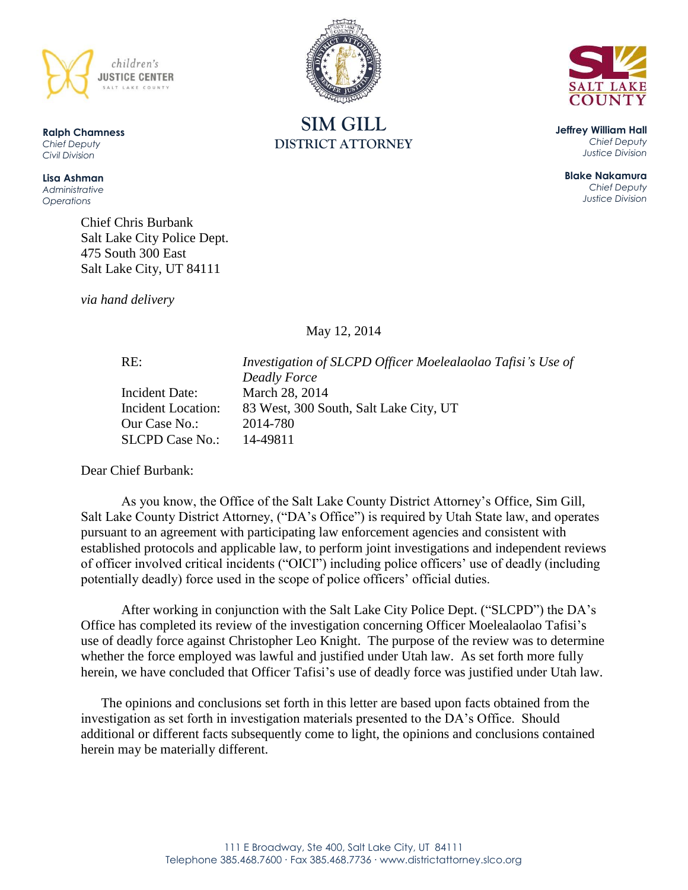

**Ralph Chamness**  *Chief Deputy Civil Division*

**Lisa Ashman** *Administrative Operations*

> Chief Chris Burbank Salt Lake City Police Dept. 475 South 300 East Salt Lake City, UT 84111

*via hand delivery*

May 12, 2014

RE: *Investigation of SLCPD Officer Moelealaolao Tafisi's Use of Deadly Force* Incident Date: March 28, 2014 Incident Location: 83 West, 300 South, Salt Lake City, UT Our Case No.: 2014-780 SLCPD Case No.: 14-49811

Dear Chief Burbank:

As you know, the Office of the Salt Lake County District Attorney's Office, Sim Gill, Salt Lake County District Attorney, ("DA's Office") is required by Utah State law, and operates pursuant to an agreement with participating law enforcement agencies and consistent with established protocols and applicable law, to perform joint investigations and independent reviews of officer involved critical incidents ("OICI") including police officers' use of deadly (including potentially deadly) force used in the scope of police officers' official duties.

After working in conjunction with the Salt Lake City Police Dept. ("SLCPD") the DA's Office has completed its review of the investigation concerning Officer Moelealaolao Tafisi's use of deadly force against Christopher Leo Knight. The purpose of the review was to determine whether the force employed was lawful and justified under Utah law. As set forth more fully herein, we have concluded that Officer Tafisi's use of deadly force was justified under Utah law.

The opinions and conclusions set forth in this letter are based upon facts obtained from the investigation as set forth in investigation materials presented to the DA's Office. Should additional or different facts subsequently come to light, the opinions and conclusions contained herein may be materially different.





**Jeffrey William Hall** *Chief Deputy Justice Division*

> **Blake Nakamura** *Chief Deputy Justice Division*

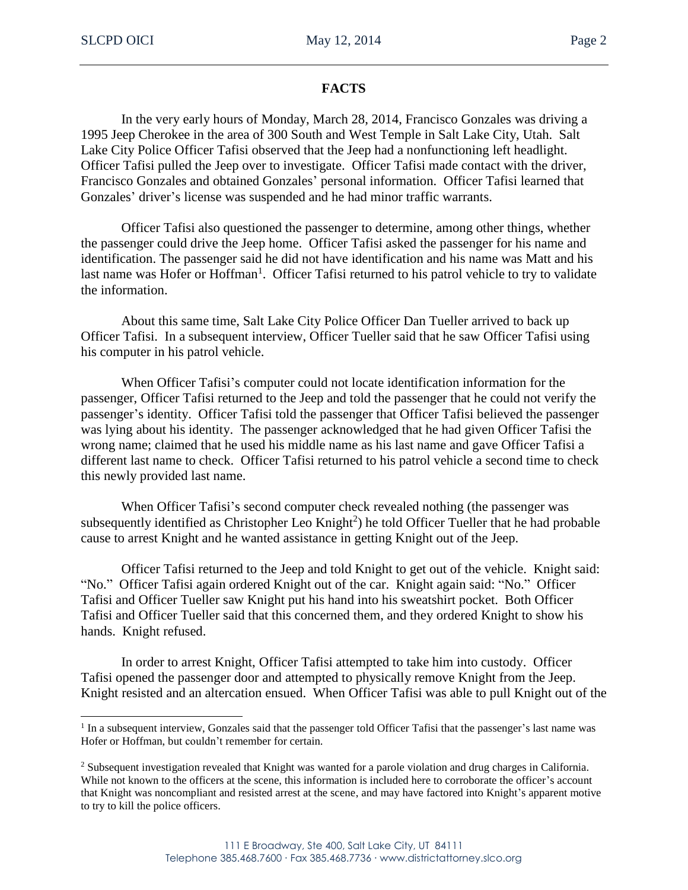$\overline{a}$ 

## **FACTS**

In the very early hours of Monday, March 28, 2014, Francisco Gonzales was driving a 1995 Jeep Cherokee in the area of 300 South and West Temple in Salt Lake City, Utah. Salt Lake City Police Officer Tafisi observed that the Jeep had a nonfunctioning left headlight. Officer Tafisi pulled the Jeep over to investigate. Officer Tafisi made contact with the driver, Francisco Gonzales and obtained Gonzales' personal information. Officer Tafisi learned that Gonzales' driver's license was suspended and he had minor traffic warrants.

Officer Tafisi also questioned the passenger to determine, among other things, whether the passenger could drive the Jeep home. Officer Tafisi asked the passenger for his name and identification. The passenger said he did not have identification and his name was Matt and his last name was Hofer or Hoffman<sup>1</sup>. Officer Tafisi returned to his patrol vehicle to try to validate the information.

About this same time, Salt Lake City Police Officer Dan Tueller arrived to back up Officer Tafisi. In a subsequent interview, Officer Tueller said that he saw Officer Tafisi using his computer in his patrol vehicle.

When Officer Tafisi's computer could not locate identification information for the passenger, Officer Tafisi returned to the Jeep and told the passenger that he could not verify the passenger's identity. Officer Tafisi told the passenger that Officer Tafisi believed the passenger was lying about his identity. The passenger acknowledged that he had given Officer Tafisi the wrong name; claimed that he used his middle name as his last name and gave Officer Tafisi a different last name to check. Officer Tafisi returned to his patrol vehicle a second time to check this newly provided last name.

When Officer Tafisi's second computer check revealed nothing (the passenger was subsequently identified as Christopher Leo Knight<sup>2</sup>) he told Officer Tueller that he had probable cause to arrest Knight and he wanted assistance in getting Knight out of the Jeep.

Officer Tafisi returned to the Jeep and told Knight to get out of the vehicle. Knight said: "No." Officer Tafisi again ordered Knight out of the car. Knight again said: "No." Officer Tafisi and Officer Tueller saw Knight put his hand into his sweatshirt pocket. Both Officer Tafisi and Officer Tueller said that this concerned them, and they ordered Knight to show his hands. Knight refused.

In order to arrest Knight, Officer Tafisi attempted to take him into custody. Officer Tafisi opened the passenger door and attempted to physically remove Knight from the Jeep. Knight resisted and an altercation ensued. When Officer Tafisi was able to pull Knight out of the

<sup>&</sup>lt;sup>1</sup> In a subsequent interview, Gonzales said that the passenger told Officer Tafisi that the passenger's last name was Hofer or Hoffman, but couldn't remember for certain.

<sup>&</sup>lt;sup>2</sup> Subsequent investigation revealed that Knight was wanted for a parole violation and drug charges in California. While not known to the officers at the scene, this information is included here to corroborate the officer's account that Knight was noncompliant and resisted arrest at the scene, and may have factored into Knight's apparent motive to try to kill the police officers.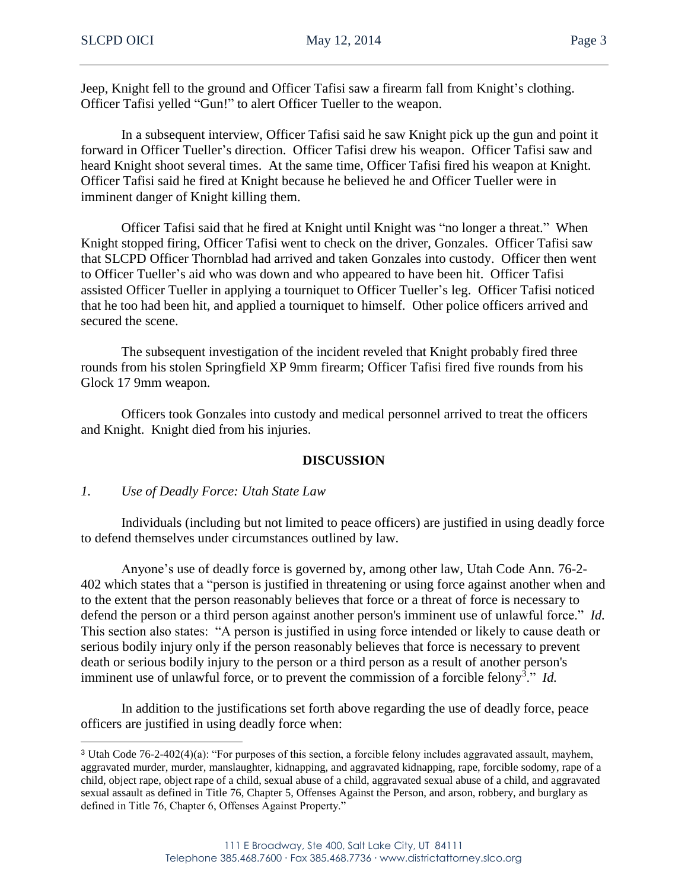Jeep, Knight fell to the ground and Officer Tafisi saw a firearm fall from Knight's clothing. Officer Tafisi yelled "Gun!" to alert Officer Tueller to the weapon.

In a subsequent interview, Officer Tafisi said he saw Knight pick up the gun and point it forward in Officer Tueller's direction. Officer Tafisi drew his weapon. Officer Tafisi saw and heard Knight shoot several times. At the same time, Officer Tafisi fired his weapon at Knight. Officer Tafisi said he fired at Knight because he believed he and Officer Tueller were in imminent danger of Knight killing them.

Officer Tafisi said that he fired at Knight until Knight was "no longer a threat." When Knight stopped firing, Officer Tafisi went to check on the driver, Gonzales. Officer Tafisi saw that SLCPD Officer Thornblad had arrived and taken Gonzales into custody. Officer then went to Officer Tueller's aid who was down and who appeared to have been hit. Officer Tafisi assisted Officer Tueller in applying a tourniquet to Officer Tueller's leg. Officer Tafisi noticed that he too had been hit, and applied a tourniquet to himself. Other police officers arrived and secured the scene.

The subsequent investigation of the incident reveled that Knight probably fired three rounds from his stolen Springfield XP 9mm firearm; Officer Tafisi fired five rounds from his Glock 17 9mm weapon.

Officers took Gonzales into custody and medical personnel arrived to treat the officers and Knight. Knight died from his injuries.

## **DISCUSSION**

## *1. Use of Deadly Force: Utah State Law*

Individuals (including but not limited to peace officers) are justified in using deadly force to defend themselves under circumstances outlined by law.

Anyone's use of deadly force is governed by, among other law, Utah Code Ann. 76-2- 402 which states that a "person is justified in threatening or using force against another when and to the extent that the person reasonably believes that force or a threat of force is necessary to defend the person or a third person against another person's imminent use of unlawful force." *Id.* This section also states: "A person is justified in using force intended or likely to cause death or serious bodily injury only if the person reasonably believes that force is necessary to prevent death or serious bodily injury to the person or a third person as a result of another person's imminent use of unlawful force, or to prevent the commission of a forcible felony<sup>3</sup>." *Id.* 

In addition to the justifications set forth above regarding the use of deadly force, peace officers are justified in using deadly force when:

<sup>3</sup> Utah Code 76-2-402(4)(a): "For purposes of this section, a forcible felony includes aggravated assault, mayhem, aggravated murder, murder, manslaughter, kidnapping, and aggravated kidnapping, rape, forcible sodomy, rape of a child, object rape, object rape of a child, sexual abuse of a child, aggravated sexual abuse of a child, and aggravated sexual assault as defined in Title 76, Chapter 5, Offenses Against the Person, and arson, robbery, and burglary as defined in Title 76, Chapter 6, Offenses Against Property."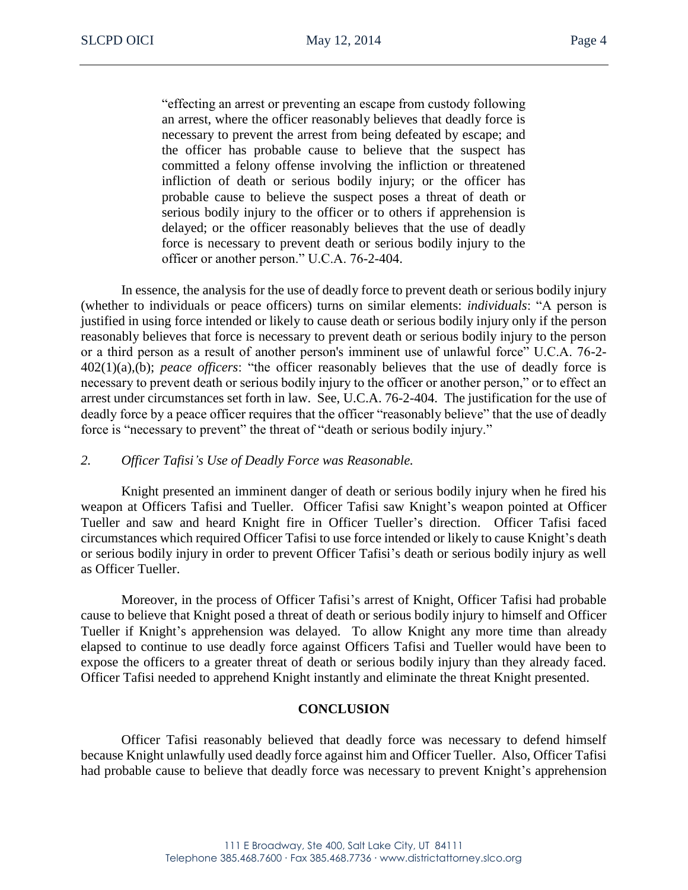"effecting an arrest or preventing an escape from custody following an arrest, where the officer reasonably believes that deadly force is necessary to prevent the arrest from being defeated by escape; and the officer has probable cause to believe that the suspect has committed a felony offense involving the infliction or threatened infliction of death or serious bodily injury; or the officer has probable cause to believe the suspect poses a threat of death or serious bodily injury to the officer or to others if apprehension is delayed; or the officer reasonably believes that the use of deadly force is necessary to prevent death or serious bodily injury to the officer or another person." U.C.A. 76-2-404.

In essence, the analysis for the use of deadly force to prevent death or serious bodily injury (whether to individuals or peace officers) turns on similar elements: *individuals*: "A person is justified in using force intended or likely to cause death or serious bodily injury only if the person reasonably believes that force is necessary to prevent death or serious bodily injury to the person or a third person as a result of another person's imminent use of unlawful force" U.C.A. 76-2- 402(1)(a),(b); *peace officers*: "the officer reasonably believes that the use of deadly force is necessary to prevent death or serious bodily injury to the officer or another person," or to effect an arrest under circumstances set forth in law. See, U.C.A. 76-2-404. The justification for the use of deadly force by a peace officer requires that the officer "reasonably believe" that the use of deadly force is "necessary to prevent" the threat of "death or serious bodily injury."

#### *2. Officer Tafisi's Use of Deadly Force was Reasonable.*

Knight presented an imminent danger of death or serious bodily injury when he fired his weapon at Officers Tafisi and Tueller. Officer Tafisi saw Knight's weapon pointed at Officer Tueller and saw and heard Knight fire in Officer Tueller's direction. Officer Tafisi faced circumstances which required Officer Tafisi to use force intended or likely to cause Knight's death or serious bodily injury in order to prevent Officer Tafisi's death or serious bodily injury as well as Officer Tueller.

Moreover, in the process of Officer Tafisi's arrest of Knight, Officer Tafisi had probable cause to believe that Knight posed a threat of death or serious bodily injury to himself and Officer Tueller if Knight's apprehension was delayed. To allow Knight any more time than already elapsed to continue to use deadly force against Officers Tafisi and Tueller would have been to expose the officers to a greater threat of death or serious bodily injury than they already faced. Officer Tafisi needed to apprehend Knight instantly and eliminate the threat Knight presented.

## **CONCLUSION**

Officer Tafisi reasonably believed that deadly force was necessary to defend himself because Knight unlawfully used deadly force against him and Officer Tueller. Also, Officer Tafisi had probable cause to believe that deadly force was necessary to prevent Knight's apprehension